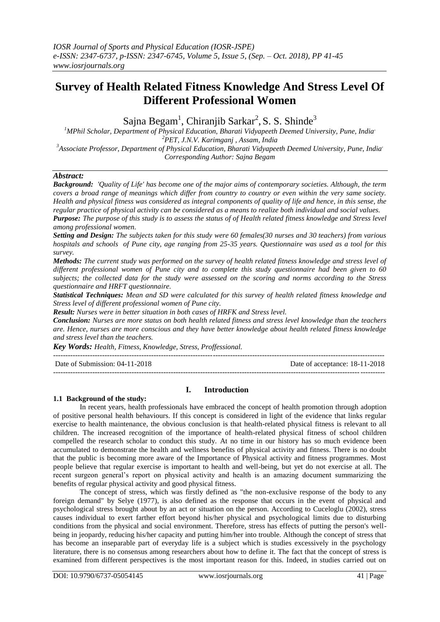# **Survey of Health Related Fitness Knowledge And Stress Level Of Different Professional Women**

Sajna Begam<sup>1</sup>, Chiranjib Sarkar<sup>2</sup>, S. S. Shinde<sup>3</sup>

*MPhil Scholar, Department of Physical Education, Bharati Vidyapeeth Deemed University, Pune, India, PET, J.N.V. Karimganj , Assam, India Associate Professor, Department of Physical Education, Bharati Vidyapeeth Deemed University, Pune, India, Corresponding Author: Sajna Begam*

## *Abstract:*

*Background: 'Quality of Life' has become one of the major aims of contemporary societies. Although, the term covers a broad range of meanings which differ from country to country or even within the very same society. Health and physical fitness was considered as integral components of quality of life and hence, in this sense, the regular practice of physical activity can be considered as a means to realize both individual and social values.* 

*Purpose: The purpose of this study is to assess the status of of Health related fitness knowledge and Stress level among professional women.*

*Setting and Design: The subjects taken for this study were 60 females(30 nurses and 30 teachers) from various hospitals and schools of Pune city, age ranging from 25-35 years. Questionnaire was used as a tool for this survey.*

*Methods: The current study was performed on the survey of health related fitness knowledge and stress level of different professional women of Pune city and to complete this study questionnaire had been given to 60 subjects; the collected data for the study were assessed on the scoring and norms according to the Stress questionnaire and HRFT questionnaire.*

*Statistical Techniques: Mean and SD were calculated for this survey of health related fitness knowledge and Stress level of different professional women of Pune city.*

*Result: Nurses were in better situation in both cases of HRFK and Stress level.*

*Conclusion: Nurses are more status on both health related fitness and stress level knowledge than the teachers are. Hence, nurses are more conscious and they have better knowledge about health related fitness knowledge and stress level than the teachers.*

*Key Words: Health, Fitness, Knowledge, Stress, Proffessional.*

---------------------------------------------------------------------------------------------------------------------------------------

Date of Submission: 04-11-2018 Date of acceptance: 18-11-2018

---------------------------------------------------------------------------------------------------------------------------------------

# **I. Introduction**

#### **1.1 Background of the study:**

In recent years, health professionals have embraced the concept of health promotion through adoption of positive personal health behaviours. If this concept is considered in light of the evidence that links regular exercise to health maintenance, the obvious conclusion is that health-related physical fitness is relevant to all children. The increased recognition of the importance of health-related physical fitness of school children compelled the research scholar to conduct this study. At no time in our history has so much evidence been accumulated to demonstrate the health and wellness benefits of physical activity and fitness. There is no doubt that the public is becoming more aware of the Importance of Physical activity and fitness programmes. Most people believe that regular exercise is important to health and well-being, but yet do not exercise at all. The recent surgeon general's report on physical activity and health is an amazing document summarizing the benefits of regular physical activity and good physical fitness.

The concept of stress, which was firstly defined as "the non-exclusive response of the body to any foreign demand" by Selye (1977), is also defined as the response that occurs in the event of physical and psychological stress brought about by an act or situation on the person. According to Cuceloglu (2002), stress causes individual to exert farther effort beyond his/her physical and psychological limits due to disturbing conditions from the physical and social environment. Therefore, stress has effects of putting the person's wellbeing in jeopardy, reducing his/her capacity and putting him/her into trouble. Although the concept of stress that has become an inseparable part of everyday life is a subject which is studies excessively in the psychology literature, there is no consensus among researchers about how to define it. The fact that the concept of stress is examined from different perspectives is the most important reason for this. Indeed, in studies carried out on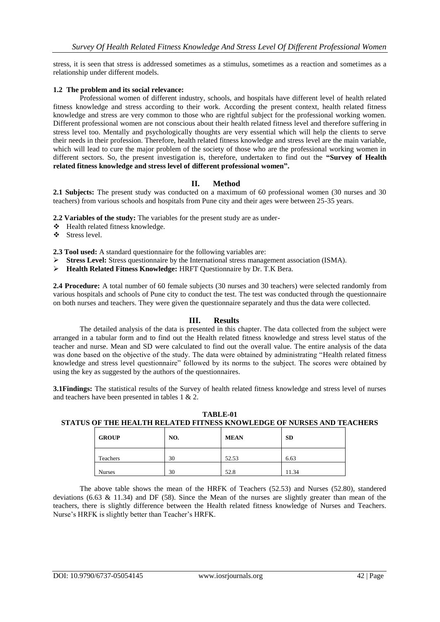stress, it is seen that stress is addressed sometimes as a stimulus, sometimes as a reaction and sometimes as a relationship under different models.

## **1.2 The problem and its social relevance:**

Professional women of different industry, schools, and hospitals have different level of health related fitness knowledge and stress according to their work. According the present context, health related fitness knowledge and stress are very common to those who are rightful subject for the professional working women. Different professional women are not conscious about their health related fitness level and therefore suffering in stress level too. Mentally and psychologically thoughts are very essential which will help the clients to serve their needs in their profession. Therefore, health related fitness knowledge and stress level are the main variable, which will lead to cure the major problem of the society of those who are the professional working women in different sectors. So, the present investigation is, therefore, undertaken to find out the **"Survey of Health related fitness knowledge and stress level of different professional women".**

# **II. Method**

**2.1 Subjects:** The present study was conducted on a maximum of 60 professional women (30 nurses and 30 teachers) from various schools and hospitals from Pune city and their ages were between 25-35 years.

**2.2 Variables of the study:** The variables for the present study are as under-

- Health related fitness knowledge.
- Stress level.

**2.3 Tool used:** A standard questionnaire for the following variables are:

- **Stress Level:** Stress questionnaire by the International stress management association (ISMA).
- **Health Related Fitness Knowledge:** HRFT Questionnaire by Dr. T.K Bera.

**2.4 Procedure:** A total number of 60 female subjects (30 nurses and 30 teachers) were selected randomly from various hospitals and schools of Pune city to conduct the test. The test was conducted through the questionnaire on both nurses and teachers. They were given the questionnaire separately and thus the data were collected.

#### **III. Results**

The detailed analysis of the data is presented in this chapter. The data collected from the subject were arranged in a tabular form and to find out the Health related fitness knowledge and stress level status of the teacher and nurse. Mean and SD were calculated to find out the overall value. The entire analysis of the data was done based on the objective of the study. The data were obtained by administrating "Health related fitness knowledge and stress level questionnaire" followed by its norms to the subject. The scores were obtained by using the key as suggested by the authors of the questionnaires.

**3.1Findings:** The statistical results of the Survey of health related fitness knowledge and stress level of nurses and teachers have been presented in tables 1 & 2.

| <b>GROUP</b>  | NO. | <b>MEAN</b> | <b>SD</b> |
|---------------|-----|-------------|-----------|
| Teachers      | 30  | 52.53       | 6.63      |
| <b>Nurses</b> | 30  | 52.8        | 11.34     |

**TABLE-01 STATUS OF THE HEALTH RELATED FITNESS KNOWLEDGE OF NURSES AND TEACHERS**

The above table shows the mean of the HRFK of Teachers (52.53) and Nurses (52.80), standered deviations (6.63  $\&$  11.34) and DF (58). Since the Mean of the nurses are slightly greater than mean of the teachers, there is slightly difference between the Health related fitness knowledge of Nurses and Teachers. Nurse's HRFK is slightly better than Teacher's HRFK.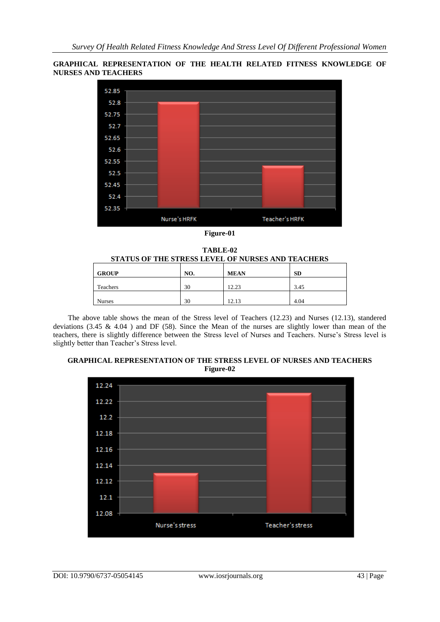## **GRAPHICAL REPRESENTATION OF THE HEALTH RELATED FITNESS KNOWLEDGE OF NURSES AND TEACHERS**



**Figure-01**

**TABLE-02 STATUS OF THE STRESS LEVEL OF NURSES AND TEACHERS**

| <b>GROUP</b>  | NO. | <b>MEAN</b> | <b>SD</b> |
|---------------|-----|-------------|-----------|
| Teachers      | 30  | 12.23       | 3.45      |
| <b>Nurses</b> | 30  | 12.13       | 4.04      |

 The above table shows the mean of the Stress level of Teachers (12.23) and Nurses (12.13), standered deviations (3.45 & 4.04 ) and DF (58). Since the Mean of the nurses are slightly lower than mean of the teachers, there is slightly difference between the Stress level of Nurses and Teachers. Nurse's Stress level is slightly better than Teacher's Stress level.

# **GRAPHICAL REPRESENTATION OF THE STRESS LEVEL OF NURSES AND TEACHERS Figure-02**

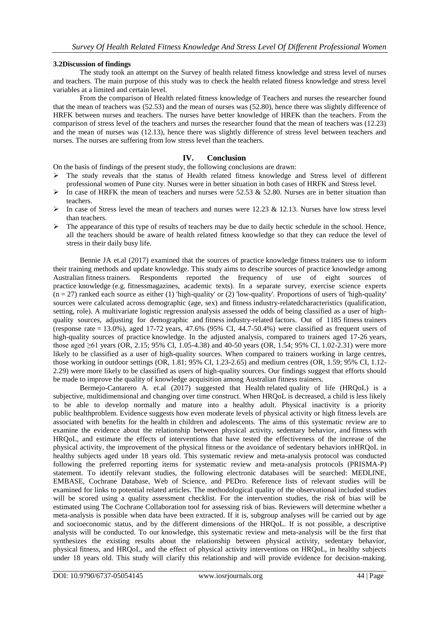## **3.2Discussion of findings**

The study took an attempt on the Survey of health related fitness knowledge and stress level of nurses and teachers. The main purpose of this study was to check the health related fitness knowledge and stress level variables at a limited and certain level.

From the comparison of Health related fitness knowledge of Teachers and nurses the researcher found that the mean of teachers was (52.53) and the mean of nurses was (52.80), hence there was slightly difference of HRFK between nurses and teachers. The nurses have better knowledge of HRFK than the teachers. From the comparison of stress level of the teachers and nurses the researcher found that the mean of teachers was (12.23) and the mean of nurses was (12.13), hence there was slightly difference of stress level between teachers and nurses. The nurses are suffering from low stress level than the teachers.

# **IV. Conclusion**

On the basis of findings of the present study, the following conclusions are drawn:

- $\triangleright$  The study reveals that the status of Health related fitness knowledge and Stress level of different professional women of Pune city. Nurses were in better situation in both cases of HRFK and Stress level.
- $\triangleright$  In case of HRFK the mean of teachers and nurses were 52.53 & 52.80. Nurses are in better situation than teachers.
- In case of Stress level the mean of teachers and nurses were 12.23 & 12.13. Nurses have low stress level than teachers.
- $\triangleright$  The appearance of this type of results of teachers may be due to daily hectic schedule in the school. Hence, all the teachers should be aware of health related fitness knowledge so that they can reduce the level of stress in their daily busy life.

[Bennie JA](https://www.ncbi.nlm.nih.gov/pubmed/?term=Bennie%20JA%5BAuthor%5D&cauthor=true&cauthor_uid=28364213) et.al (2017) examined that the sources of practice knowledge fitness trainers use to inform their training methods and update knowledge. This study aims to describe sources of practice knowledge among Australian fitness trainers. Respondents reported the frequency of use of eight sources of practice knowledge (e.g. fitnessmagazines, academic texts). In a separate survey, exercise science experts  $(n = 27)$  ranked each source as either (1) 'high-quality' or (2) 'low-quality'. Proportions of users of 'high-quality' sources were calculated across demographic (age, sex) and fitness industry-relatedcharacteristics (qualification, setting, role). A multivariate logistic regression analysis assessed the odds of being classified as a user of highquality sources, adjusting for demographic and fitness industry-related factors. Out of 1185 fitness trainers (response rate  $= 13.0\%$ ), aged 17-72 years, 47.6% (95% CI, 44.7-50.4%) were classified as frequent users of high-quality sources of practice knowledge. In the adjusted analysis, compared to trainers aged 17-26 years, those aged  $\geq 61$  years (OR, 2.15; 95% CI, 1.05-4.38) and 40-50 years (OR, 1.54; 95% CI, 1.02-2.31) were more likely to be classified as a user of high-quality sources. When compared to trainers working in large centres, those working in outdoor settings (OR, 1.81; 95% CI, 1.23-2.65) and medium centres (OR, 1.59; 95% CI, 1.12- 2.29) were more likely to be classified as users of high-quality sources. Our findings suggest that efforts should be made to improve the quality of knowledge acquisition among Australian fitness trainers.

[Bermejo-Cantarero A.](https://www.ncbi.nlm.nih.gov/pubmed/?term=Bermejo-Cantarero%20A%5BAuthor%5D&cauthor=true&cauthor_uid=28328839) et.al (2017) suggested that Health related quality of life (HRQoL) is a subjective, multidimensional and changing over time construct. When HROoL is decreased, a child is less likely to be able to develop normally and mature into a healthy adult. Physical inactivity is a priority public healthproblem. Evidence suggests how even moderate levels of physical activity or high fitness levels are associated with benefits for the health in children and adolescents. The aims of this systematic review are to examine the evidence about the relationship between physical activity, sedentary behavior, and fitness with HRQoL, and estimate the effects of interventions that have tested the effectiveness of the increase of the physical activity, the improvement of the physical fitness or the avoidance of sedentary behaviors inHRQoL in healthy subjects aged under 18 years old. This systematic review and meta-analysis protocol was conducted following the preferred reporting items for systematic review and meta-analysis protocols (PRISMA-P) statement. To identify relevant studies, the following electronic databases will be searched: MEDLINE, EMBASE, Cochrane Database, Web of Science, and PEDro. Reference lists of relevant studies will be examined for links to potential related articles. The methodological quality of the observational included studies will be scored using a quality assessment checklist. For the intervention studies, the risk of bias will be estimated using The Cochrane Collaboration tool for assessing risk of bias. Reviewers will determine whether a meta-analysis is possible when data have been extracted. If it is, subgroup analyses will be carried out by age and socioeconomic status, and by the different dimensions of the HRQoL. If is not possible, a descriptive analysis will be conducted. To our knowledge, this systematic review and meta-analysis will be the first that synthesizes the existing results about the relationship between physical activity, sedentary behavior, physical fitness, and HRQoL, and the effect of physical activity interventions on HRQoL, in healthy subjects under 18 years old. This study will clarify this relationship and will provide evidence for decision-making.